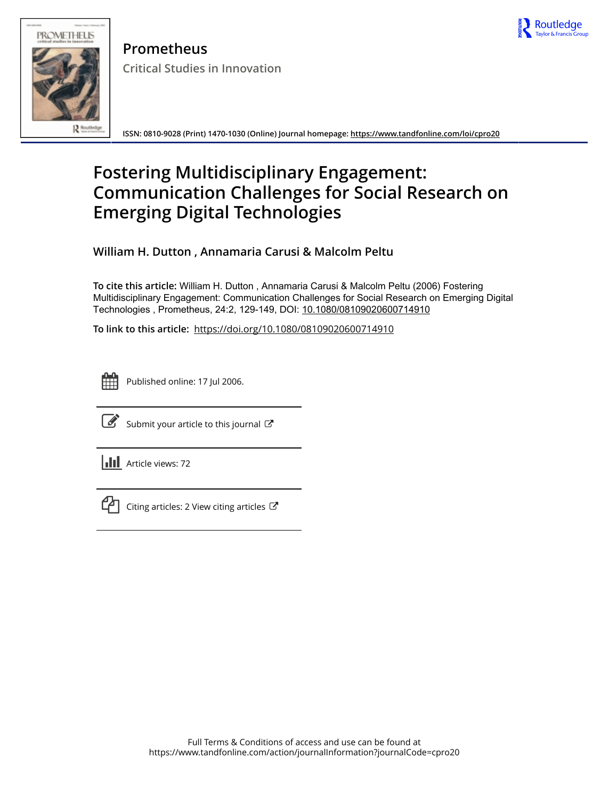



**Prometheus Critical Studies in Innovation**

**ISSN: 0810-9028 (Print) 1470-1030 (Online) Journal homepage:<https://www.tandfonline.com/loi/cpro20>**

# **Fostering Multidisciplinary Engagement: Communication Challenges for Social Research on Emerging Digital Technologies**

**William H. Dutton , Annamaria Carusi & Malcolm Peltu**

**To cite this article:** William H. Dutton , Annamaria Carusi & Malcolm Peltu (2006) Fostering Multidisciplinary Engagement: Communication Challenges for Social Research on Emerging Digital Technologies , Prometheus, 24:2, 129-149, DOI: [10.1080/08109020600714910](https://www.tandfonline.com/action/showCitFormats?doi=10.1080/08109020600714910)

**To link to this article:** <https://doi.org/10.1080/08109020600714910>



Published online: 17 Jul 2006.



 $\overrightarrow{S}$  [Submit your article to this journal](https://www.tandfonline.com/action/authorSubmission?journalCode=cpro20&show=instructions)  $\overrightarrow{S}$ 

**Article views: 72** 



 $\mathcal{C}$  [Citing articles: 2 View citing articles](https://www.tandfonline.com/doi/citedby/10.1080/08109020600714910#tabModule)  $\mathcal{C}$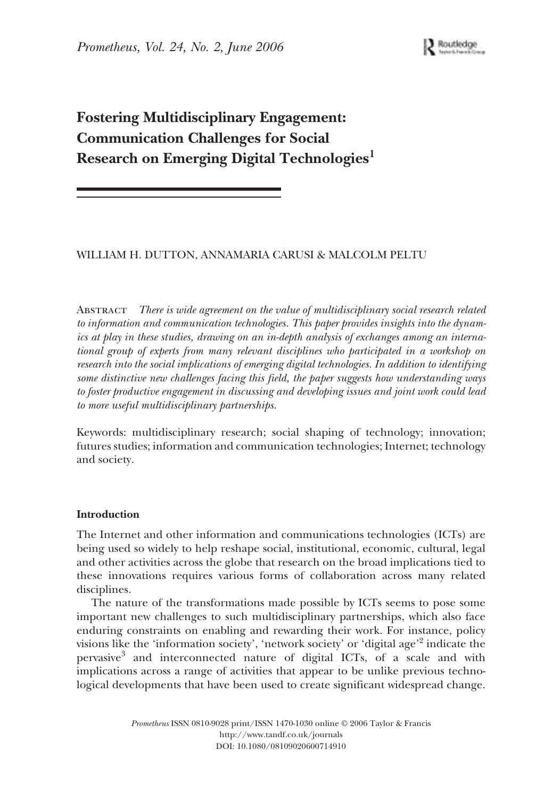# **Fostering Multidisciplinary Engagement: Communication Challenges for Social Research on Emerging Digital Technologies<sup>1</sup>**

# WILLIAM H. DUTTON, ANNAMARIA CARUSI & MALCOLM PELTU

Abstract *There is wide agreement on the value of multidisciplinary social research related to information and communication technologies. This paper provides insights into the dynamics at play in these studies, drawing on an in-depth analysis of exchanges among an international group of experts from many relevant disciplines who participated in a workshop on research into the social implications of emerging digital technologies. In addition to identifying some distinctive new challenges facing this field, the paper suggests how understanding ways to foster productive engagement in discussing and developing issues and joint work could lead to more useful multidisciplinary partnerships.*

Keywords: multidisciplinary research; social shaping of technology; innovation; futures studies; information and communication technologies; Internet; technology and society.

#### **Introduction**

The Internet and other information and communications technologies (ICTs) are being used so widely to help reshape social, institutional, economic, cultural, legal and other activities across the globe that research on the broad implications tied to these innovations requires various forms of collaboration across many related disciplines.

The nature of the transformations made possible by ICTs seems to pose some important new challenges to such multidisciplinary partnerships, which also face enduring constraints on enabling and rewarding their work. For instance, policy visions like the 'information society', 'network society' or 'digital age'<sup>2</sup> indicate the pervasive3 and interconnected nature of digital ICTs, of a scale and with implications across a range of activities that appear to be unlike previous technological developments that have been used to create significant widespread change.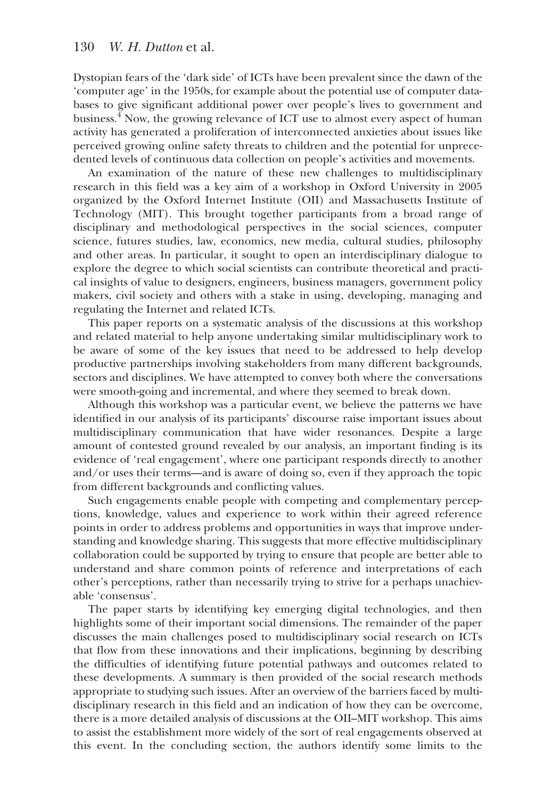Dystopian fears of the 'dark side' of ICTs have been prevalent since the dawn of the 'computer age' in the 1950s, for example about the potential use of computer databases to give significant additional power over people's lives to government and business.4 Now, the growing relevance of ICT use to almost every aspect of human activity has generated a proliferation of interconnected anxieties about issues like perceived growing online safety threats to children and the potential for unprecedented levels of continuous data collection on people's activities and movements.

An examination of the nature of these new challenges to multidisciplinary research in this field was a key aim of a workshop in Oxford University in 2005 organized by the Oxford Internet Institute (OII) and Massachusetts Institute of Technology (MIT). This brought together participants from a broad range of disciplinary and methodological perspectives in the social sciences, computer science, futures studies, law, economics, new media, cultural studies, philosophy and other areas. In particular, it sought to open an interdisciplinary dialogue to explore the degree to which social scientists can contribute theoretical and practical insights of value to designers, engineers, business managers, government policy makers, civil society and others with a stake in using, developing, managing and regulating the Internet and related ICTs.

This paper reports on a systematic analysis of the discussions at this workshop and related material to help anyone undertaking similar multidisciplinary work to be aware of some of the key issues that need to be addressed to help develop productive partnerships involving stakeholders from many different backgrounds, sectors and disciplines. We have attempted to convey both where the conversations were smooth-going and incremental, and where they seemed to break down.

Although this workshop was a particular event, we believe the patterns we have identified in our analysis of its participants' discourse raise important issues about multidisciplinary communication that have wider resonances. Despite a large amount of contested ground revealed by our analysis, an important finding is its evidence of 'real engagement', where one participant responds directly to another and/or uses their terms—and is aware of doing so, even if they approach the topic from different backgrounds and conflicting values.

Such engagements enable people with competing and complementary perceptions, knowledge, values and experience to work within their agreed reference points in order to address problems and opportunities in ways that improve understanding and knowledge sharing. This suggests that more effective multidisciplinary collaboration could be supported by trying to ensure that people are better able to understand and share common points of reference and interpretations of each other's perceptions, rather than necessarily trying to strive for a perhaps unachievable 'consensus'.

The paper starts by identifying key emerging digital technologies, and then highlights some of their important social dimensions. The remainder of the paper discusses the main challenges posed to multidisciplinary social research on ICTs that flow from these innovations and their implications, beginning by describing the difficulties of identifying future potential pathways and outcomes related to these developments. A summary is then provided of the social research methods appropriate to studying such issues. After an overview of the barriers faced by multidisciplinary research in this field and an indication of how they can be overcome, there is a more detailed analysis of discussions at the OII–MIT workshop. This aims to assist the establishment more widely of the sort of real engagements observed at this event. In the concluding section, the authors identify some limits to the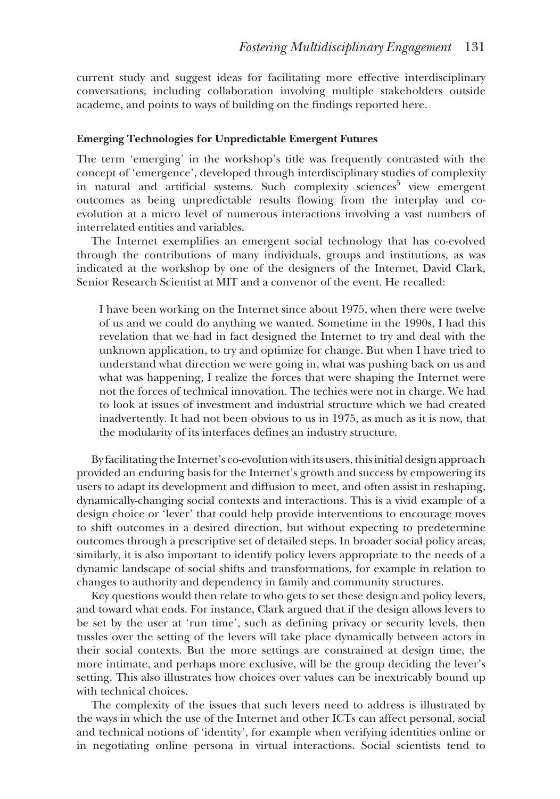current study and suggest ideas for facilitating more effective interdisciplinary conversations, including collaboration involving multiple stakeholders outside academe, and points to ways of building on the findings reported here.

### **Emerging Technologies for Unpredictable Emergent Futures**

The term 'emerging' in the workshop's title was frequently contrasted with the concept of 'emergence', developed through interdisciplinary studies of complexity in natural and artificial systems. Such complexity sciences<sup>5</sup> view emergent outcomes as being unpredictable results flowing from the interplay and coevolution at a micro level of numerous interactions involving a vast numbers of interrelated entities and variables.

The Internet exemplifies an emergent social technology that has co-evolved through the contributions of many individuals, groups and institutions, as was indicated at the workshop by one of the designers of the Internet, David Clark, Senior Research Scientist at MIT and a convenor of the event. He recalled:

I have been working on the Internet since about 1975, when there were twelve of us and we could do anything we wanted. Sometime in the 1990s, I had this revelation that we had in fact designed the Internet to try and deal with the unknown application, to try and optimize for change. But when I have tried to understand what direction we were going in, what was pushing back on us and what was happening, I realize the forces that were shaping the Internet were not the forces of technical innovation. The techies were not in charge. We had to look at issues of investment and industrial structure which we had created inadvertently. It had not been obvious to us in 1975, as much as it is now, that the modularity of its interfaces defines an industry structure.

By facilitating the Internet's co-evolution with its users, this initial design approach provided an enduring basis for the Internet's growth and success by empowering its users to adapt its development and diffusion to meet, and often assist in reshaping, dynamically-changing social contexts and interactions. This is a vivid example of a design choice or 'lever' that could help provide interventions to encourage moves to shift outcomes in a desired direction, but without expecting to predetermine outcomes through a prescriptive set of detailed steps. In broader social policy areas, similarly, it is also important to identify policy levers appropriate to the needs of a dynamic landscape of social shifts and transformations, for example in relation to changes to authority and dependency in family and community structures.

Key questions would then relate to who gets to set these design and policy levers, and toward what ends. For instance, Clark argued that if the design allows levers to be set by the user at 'run time', such as defining privacy or security levels, then tussles over the setting of the levers will take place dynamically between actors in their social contexts. But the more settings are constrained at design time, the more intimate, and perhaps more exclusive, will be the group deciding the lever's setting. This also illustrates how choices over values can be inextricably bound up with technical choices.

The complexity of the issues that such levers need to address is illustrated by the ways in which the use of the Internet and other ICTs can affect personal, social and technical notions of 'identity', for example when verifying identities online or in negotiating online persona in virtual interactions. Social scientists tend to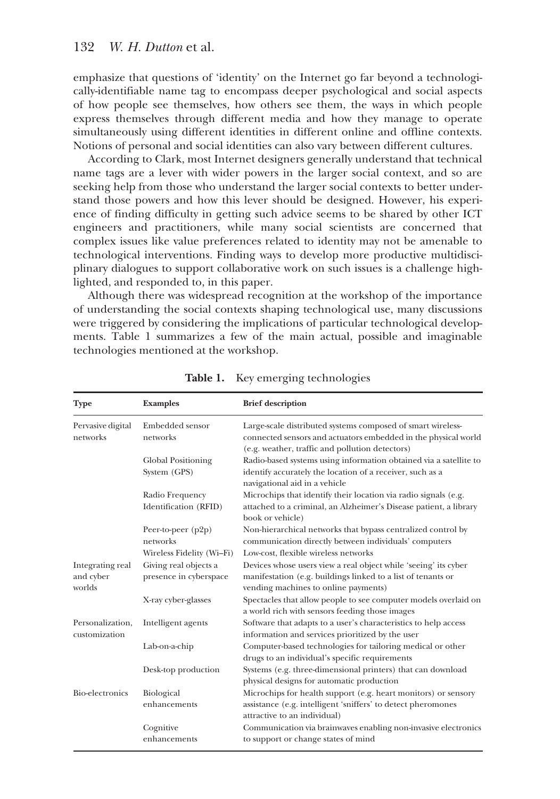emphasize that questions of 'identity' on the Internet go far beyond a technologically-identifiable name tag to encompass deeper psychological and social aspects of how people see themselves, how others see them, the ways in which people express themselves through different media and how they manage to operate simultaneously using different identities in different online and offline contexts. Notions of personal and social identities can also vary between different cultures.

According to Clark, most Internet designers generally understand that technical name tags are a lever with wider powers in the larger social context, and so are seeking help from those who understand the larger social contexts to better understand those powers and how this lever should be designed. However, his experience of finding difficulty in getting such advice seems to be shared by other ICT engineers and practitioners, while many social scientists are concerned that complex issues like value preferences related to identity may not be amenable to technological interventions. Finding ways to develop more productive multidisciplinary dialogues to support collaborative work on such issues is a challenge highlighted, and responded to, in this paper.

Although there was widespread recognition at the workshop of the importance of understanding the social contexts shaping technological use, many discussions were triggered by considering the implications of particular technological developments. Table 1 summarizes a few of the main actual, possible and imaginable technologies mentioned at the workshop.

| <b>Type</b>                             | <b>Examples</b>                                 | <b>Brief description</b>                                                                                                                                                         |
|-----------------------------------------|-------------------------------------------------|----------------------------------------------------------------------------------------------------------------------------------------------------------------------------------|
| Pervasive digital<br>networks           | Embedded sensor<br>networks                     | Large-scale distributed systems composed of smart wireless-<br>connected sensors and actuators embedded in the physical world<br>(e.g. weather, traffic and pollution detectors) |
|                                         | <b>Global Positioning</b><br>System (GPS)       | Radio-based systems using information obtained via a satellite to<br>identify accurately the location of a receiver, such as a<br>navigational aid in a vehicle                  |
|                                         | Radio Frequency<br>Identification (RFID)        | Microchips that identify their location via radio signals (e.g.<br>attached to a criminal, an Alzheimer's Disease patient, a library<br>book or vehicle)                         |
|                                         | Peer-to-peer $(p2p)$<br>networks                | Non-hierarchical networks that bypass centralized control by<br>communication directly between individuals' computers                                                            |
|                                         | Wireless Fidelity (Wi-Fi)                       | Low-cost, flexible wireless networks                                                                                                                                             |
| Integrating real<br>and cyber<br>worlds | Giving real objects a<br>presence in cyberspace | Devices whose users view a real object while 'seeing' its cyber<br>manifestation (e.g. buildings linked to a list of tenants or<br>vending machines to online payments)          |
|                                         | X-ray cyber-glasses                             | Spectacles that allow people to see computer models overlaid on<br>a world rich with sensors feeding those images                                                                |
| Personalization,<br>customization       | Intelligent agents                              | Software that adapts to a user's characteristics to help access<br>information and services prioritized by the user                                                              |
|                                         | Lab-on-a-chip                                   | Computer-based technologies for tailoring medical or other<br>drugs to an individual's specific requirements                                                                     |
|                                         | Desk-top production                             | Systems (e.g. three-dimensional printers) that can download<br>physical designs for automatic production                                                                         |
| Bio-electronics                         | Biological<br>enhancements                      | Microchips for health support (e.g. heart monitors) or sensory<br>assistance (e.g. intelligent 'sniffers' to detect pheromones<br>attractive to an individual)                   |
|                                         | Cognitive<br>enhancements                       | Communication via brainwaves enabling non-invasive electronics<br>to support or change states of mind                                                                            |

**Table 1.** Key emerging technologies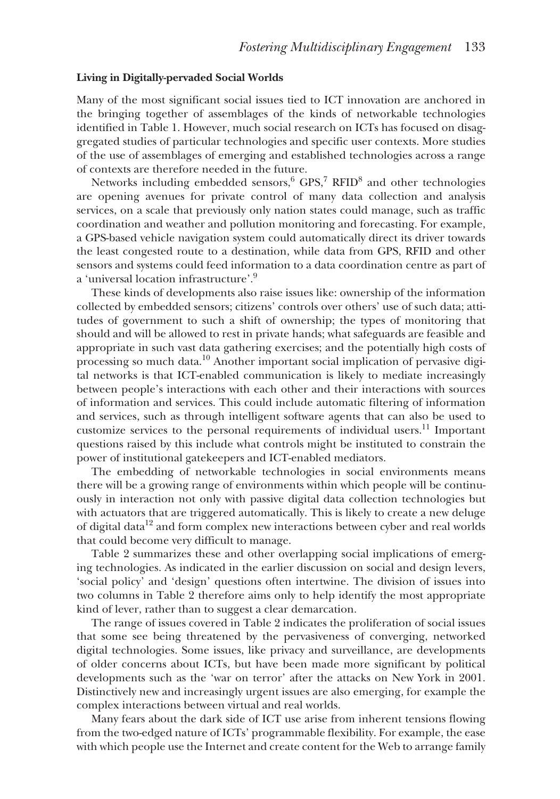# **Living in Digitally-pervaded Social Worlds**

Many of the most significant social issues tied to ICT innovation are anchored in the bringing together of assemblages of the kinds of networkable technologies identified in Table 1. However, much social research on ICTs has focused on disaggregated studies of particular technologies and specific user contexts. More studies of the use of assemblages of emerging and established technologies across a range of contexts are therefore needed in the future.

Networks including embedded sensors,<sup>6</sup> GPS,<sup>7</sup> RFID<sup>8</sup> and other technologies are opening avenues for private control of many data collection and analysis services, on a scale that previously only nation states could manage, such as traffic coordination and weather and pollution monitoring and forecasting. For example, a GPS-based vehicle navigation system could automatically direct its driver towards the least congested route to a destination, while data from GPS, RFID and other sensors and systems could feed information to a data coordination centre as part of a 'universal location infrastructure'.9

These kinds of developments also raise issues like: ownership of the information collected by embedded sensors; citizens' controls over others' use of such data; attitudes of government to such a shift of ownership; the types of monitoring that should and will be allowed to rest in private hands; what safeguards are feasible and appropriate in such vast data gathering exercises; and the potentially high costs of processing so much data.<sup>10</sup> Another important social implication of pervasive digital networks is that ICT-enabled communication is likely to mediate increasingly between people's interactions with each other and their interactions with sources of information and services. This could include automatic filtering of information and services, such as through intelligent software agents that can also be used to customize services to the personal requirements of individual users.<sup>11</sup> Important questions raised by this include what controls might be instituted to constrain the power of institutional gatekeepers and ICT-enabled mediators.

The embedding of networkable technologies in social environments means there will be a growing range of environments within which people will be continuously in interaction not only with passive digital data collection technologies but with actuators that are triggered automatically. This is likely to create a new deluge of digital data<sup>12</sup> and form complex new interactions between cyber and real worlds that could become very difficult to manage.

Table 2 summarizes these and other overlapping social implications of emerging technologies. As indicated in the earlier discussion on social and design levers, 'social policy' and 'design' questions often intertwine. The division of issues into two columns in Table 2 therefore aims only to help identify the most appropriate kind of lever, rather than to suggest a clear demarcation.

The range of issues covered in Table 2 indicates the proliferation of social issues that some see being threatened by the pervasiveness of converging, networked digital technologies. Some issues, like privacy and surveillance, are developments of older concerns about ICTs, but have been made more significant by political developments such as the 'war on terror' after the attacks on New York in 2001. Distinctively new and increasingly urgent issues are also emerging, for example the complex interactions between virtual and real worlds.

Many fears about the dark side of ICT use arise from inherent tensions flowing from the two-edged nature of ICTs' programmable flexibility. For example, the ease with which people use the Internet and create content for the Web to arrange family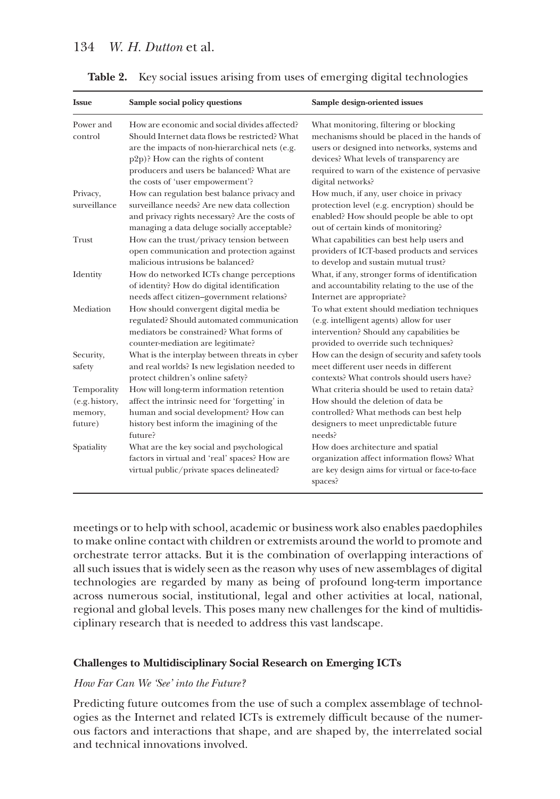| <b>Issue</b>                                        | Sample social policy questions                                                                                                                                                                                                                                            | Sample design-oriented issues                                                                                                                                                                                                                            |
|-----------------------------------------------------|---------------------------------------------------------------------------------------------------------------------------------------------------------------------------------------------------------------------------------------------------------------------------|----------------------------------------------------------------------------------------------------------------------------------------------------------------------------------------------------------------------------------------------------------|
| Power and<br>control                                | How are economic and social divides affected?<br>Should Internet data flows be restricted? What<br>are the impacts of non-hierarchical nets (e.g.<br>p2p)? How can the rights of content<br>producers and users be balanced? What are<br>the costs of 'user empowerment'? | What monitoring, filtering or blocking<br>mechanisms should be placed in the hands of<br>users or designed into networks, systems and<br>devices? What levels of transparency are<br>required to warn of the existence of pervasive<br>digital networks? |
| Privacy,<br>surveillance                            | How can regulation best balance privacy and<br>surveillance needs? Are new data collection<br>and privacy rights necessary? Are the costs of<br>managing a data deluge socially acceptable?                                                                               | How much, if any, user choice in privacy<br>protection level (e.g. encryption) should be<br>enabled? How should people be able to opt<br>out of certain kinds of monitoring?                                                                             |
| Trust                                               | How can the trust/privacy tension between<br>open communication and protection against<br>malicious intrusions be balanced?                                                                                                                                               | What capabilities can best help users and<br>providers of ICT-based products and services<br>to develop and sustain mutual trust?                                                                                                                        |
| Identity                                            | How do networked ICTs change perceptions<br>of identity? How do digital identification<br>needs affect citizen-government relations?                                                                                                                                      | What, if any, stronger forms of identification<br>and accountability relating to the use of the<br>Internet are appropriate?                                                                                                                             |
| Mediation                                           | How should convergent digital media be<br>regulated? Should automated communication<br>mediators be constrained? What forms of<br>counter-mediation are legitimate?                                                                                                       | To what extent should mediation techniques<br>(e.g. intelligent agents) allow for user<br>intervention? Should any capabilities be<br>provided to override such techniques?                                                                              |
| Security,<br>safety                                 | What is the interplay between threats in cyber<br>and real worlds? Is new legislation needed to<br>protect children's online safety?                                                                                                                                      | How can the design of security and safety tools<br>meet different user needs in different<br>contexts? What controls should users have?                                                                                                                  |
| Temporality<br>(e.g. history,<br>memory,<br>future) | How will long-term information retention<br>affect the intrinsic need for 'forgetting' in<br>human and social development? How can<br>history best inform the imagining of the<br>future?                                                                                 | What criteria should be used to retain data?<br>How should the deletion of data be<br>controlled? What methods can best help<br>designers to meet unpredictable future<br>needs?                                                                         |
| Spatiality                                          | What are the key social and psychological<br>factors in virtual and 'real' spaces? How are<br>virtual public/private spaces delineated?                                                                                                                                   | How does architecture and spatial<br>organization affect information flows? What<br>are key design aims for virtual or face-to-face<br>spaces?                                                                                                           |

**Table 2.** Key social issues arising from uses of emerging digital technologies

meetings or to help with school, academic or business work also enables paedophiles to make online contact with children or extremists around the world to promote and orchestrate terror attacks. But it is the combination of overlapping interactions of all such issues that is widely seen as the reason why uses of new assemblages of digital technologies are regarded by many as being of profound long-term importance across numerous social, institutional, legal and other activities at local, national, regional and global levels. This poses many new challenges for the kind of multidisciplinary research that is needed to address this vast landscape.

#### **Challenges to Multidisciplinary Social Research on Emerging ICTs**

# *How Far Can We 'See' into the Future?*

Predicting future outcomes from the use of such a complex assemblage of technologies as the Internet and related ICTs is extremely difficult because of the numerous factors and interactions that shape, and are shaped by, the interrelated social and technical innovations involved.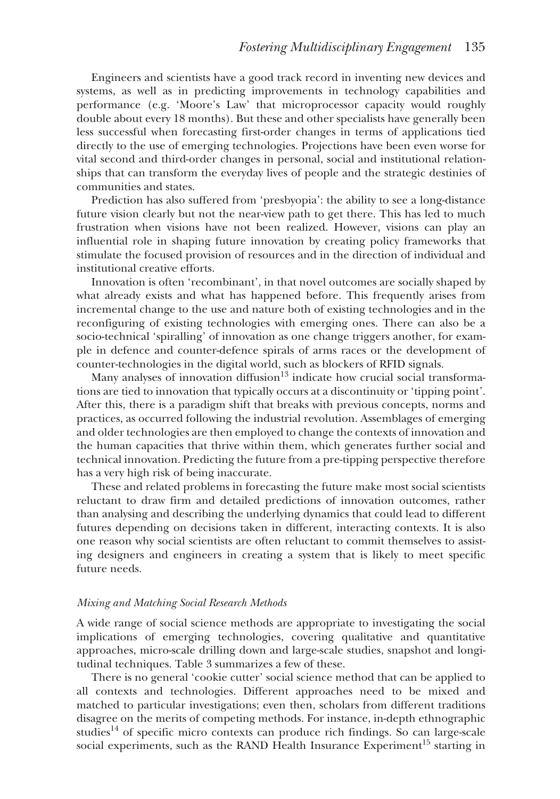Engineers and scientists have a good track record in inventing new devices and systems, as well as in predicting improvements in technology capabilities and performance (e.g. 'Moore's Law' that microprocessor capacity would roughly double about every 18 months). But these and other specialists have generally been less successful when forecasting first-order changes in terms of applications tied directly to the use of emerging technologies. Projections have been even worse for vital second and third-order changes in personal, social and institutional relationships that can transform the everyday lives of people and the strategic destinies of communities and states.

Prediction has also suffered from 'presbyopia': the ability to see a long-distance future vision clearly but not the near-view path to get there. This has led to much frustration when visions have not been realized. However, visions can play an influential role in shaping future innovation by creating policy frameworks that stimulate the focused provision of resources and in the direction of individual and institutional creative efforts.

Innovation is often 'recombinant', in that novel outcomes are socially shaped by what already exists and what has happened before. This frequently arises from incremental change to the use and nature both of existing technologies and in the reconfiguring of existing technologies with emerging ones. There can also be a socio-technical 'spiralling' of innovation as one change triggers another, for example in defence and counter-defence spirals of arms races or the development of counter-technologies in the digital world, such as blockers of RFID signals.

Many analyses of innovation diffusion $13$  indicate how crucial social transformations are tied to innovation that typically occurs at a discontinuity or 'tipping point'. After this, there is a paradigm shift that breaks with previous concepts, norms and practices, as occurred following the industrial revolution. Assemblages of emerging and older technologies are then employed to change the contexts of innovation and the human capacities that thrive within them, which generates further social and technical innovation. Predicting the future from a pre-tipping perspective therefore has a very high risk of being inaccurate.

These and related problems in forecasting the future make most social scientists reluctant to draw firm and detailed predictions of innovation outcomes, rather than analysing and describing the underlying dynamics that could lead to different futures depending on decisions taken in different, interacting contexts. It is also one reason why social scientists are often reluctant to commit themselves to assisting designers and engineers in creating a system that is likely to meet specific future needs.

#### *Mixing and Matching Social Research Methods*

A wide range of social science methods are appropriate to investigating the social implications of emerging technologies, covering qualitative and quantitative approaches, micro-scale drilling down and large-scale studies, snapshot and longitudinal techniques. Table 3 summarizes a few of these.

There is no general 'cookie cutter' social science method that can be applied to all contexts and technologies. Different approaches need to be mixed and matched to particular investigations; even then, scholars from different traditions disagree on the merits of competing methods. For instance, in-depth ethnographic studies $14$  of specific micro contexts can produce rich findings. So can large-scale social experiments, such as the RAND Health Insurance Experiment<sup>15</sup> starting in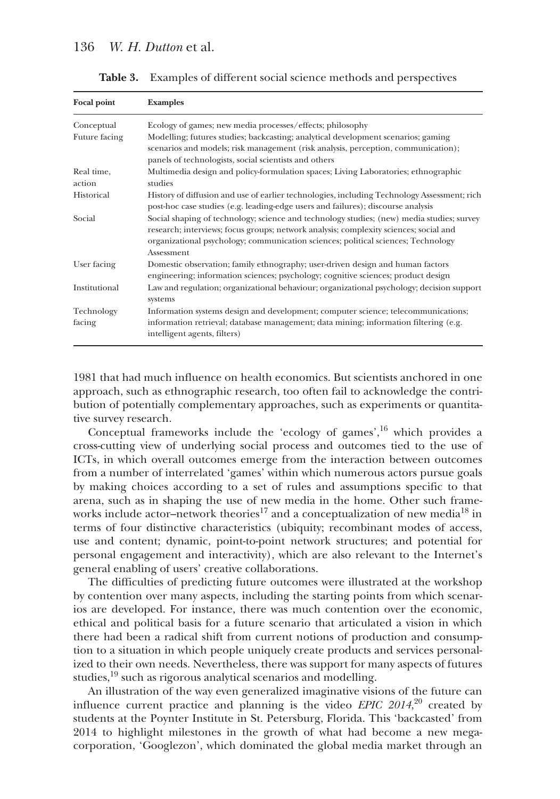| <b>Focal point</b>   | <b>Examples</b>                                                                                                                                                                                                                                                                       |  |
|----------------------|---------------------------------------------------------------------------------------------------------------------------------------------------------------------------------------------------------------------------------------------------------------------------------------|--|
| Conceptual           | Ecology of games; new media processes/effects; philosophy                                                                                                                                                                                                                             |  |
| Future facing        | Modelling; futures studies; backcasting; analytical development scenarios; gaming                                                                                                                                                                                                     |  |
|                      | scenarios and models; risk management (risk analysis, perception, communication);                                                                                                                                                                                                     |  |
|                      | panels of technologists, social scientists and others                                                                                                                                                                                                                                 |  |
| Real time,<br>action | Multimedia design and policy-formulation spaces; Living Laboratories; ethnographic<br>studies                                                                                                                                                                                         |  |
| Historical           | History of diffusion and use of earlier technologies, including Technology Assessment; rich<br>post-hoc case studies (e.g. leading-edge users and failures); discourse analysis                                                                                                       |  |
| Social               | Social shaping of technology; science and technology studies; (new) media studies; survey<br>research; interviews; focus groups; network analysis; complexity sciences; social and<br>organizational psychology; communication sciences; political sciences; Technology<br>Assessment |  |
| User facing          | Domestic observation; family ethnography; user-driven design and human factors<br>engineering; information sciences; psychology; cognitive sciences; product design                                                                                                                   |  |
| Institutional        | Law and regulation; organizational behaviour; organizational psychology; decision support<br>systems                                                                                                                                                                                  |  |
| Technology           | Information systems design and development; computer science; telecommunications;                                                                                                                                                                                                     |  |
| facing               | information retrieval; database management; data mining; information filtering (e.g.<br>intelligent agents, filters)                                                                                                                                                                  |  |

**Table 3.** Examples of different social science methods and perspectives

1981 that had much influence on health economics. But scientists anchored in one approach, such as ethnographic research, too often fail to acknowledge the contribution of potentially complementary approaches, such as experiments or quantitative survey research.

Conceptual frameworks include the 'ecology of games', $16$  which provides a cross-cutting view of underlying social process and outcomes tied to the use of ICTs, in which overall outcomes emerge from the interaction between outcomes from a number of interrelated 'games' within which numerous actors pursue goals by making choices according to a set of rules and assumptions specific to that arena, such as in shaping the use of new media in the home. Other such frameworks include actor-network theories<sup>17</sup> and a conceptualization of new media<sup>18</sup> in terms of four distinctive characteristics (ubiquity; recombinant modes of access, use and content; dynamic, point-to-point network structures; and potential for personal engagement and interactivity), which are also relevant to the Internet's general enabling of users' creative collaborations.

The difficulties of predicting future outcomes were illustrated at the workshop by contention over many aspects, including the starting points from which scenarios are developed. For instance, there was much contention over the economic, ethical and political basis for a future scenario that articulated a vision in which there had been a radical shift from current notions of production and consumption to a situation in which people uniquely create products and services personalized to their own needs. Nevertheless, there was support for many aspects of futures studies,<sup>19</sup> such as rigorous analytical scenarios and modelling.

An illustration of the way even generalized imaginative visions of the future can influence current practice and planning is the video *EPIC 2014*, <sup>20</sup> created by students at the Poynter Institute in St. Petersburg, Florida. This 'backcasted' from 2014 to highlight milestones in the growth of what had become a new megacorporation, 'Googlezon', which dominated the global media market through an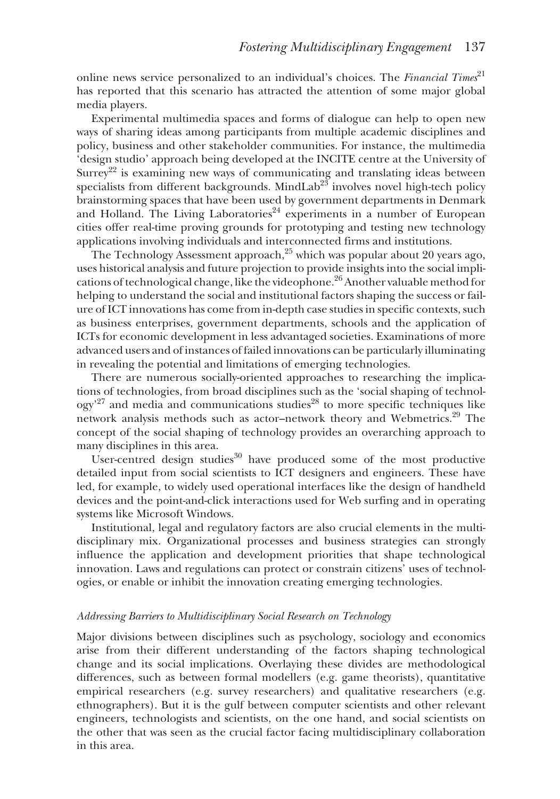online news service personalized to an individual's choices. The *Financial Times*<sup>21</sup> has reported that this scenario has attracted the attention of some major global media players.

Experimental multimedia spaces and forms of dialogue can help to open new ways of sharing ideas among participants from multiple academic disciplines and policy, business and other stakeholder communities. For instance, the multimedia 'design studio' approach being developed at the INCITE centre at the University of Surrey<sup>22</sup> is examining new ways of communicating and translating ideas between specialists from different backgrounds. MindLab<sup>23</sup> involves novel high-tech policy brainstorming spaces that have been used by government departments in Denmark and Holland. The Living Laboratories<sup>24</sup> experiments in a number of European cities offer real-time proving grounds for prototyping and testing new technology applications involving individuals and interconnected firms and institutions.

The Technology Assessment approach, $25$  which was popular about 20 years ago, uses historical analysis and future projection to provide insights into the social implications of technological change, like the videophone.26 Another valuable method for helping to understand the social and institutional factors shaping the success or failure of ICT innovations has come from in-depth case studies in specific contexts, such as business enterprises, government departments, schools and the application of ICTs for economic development in less advantaged societies. Examinations of more advanced users and of instances of failed innovations can be particularly illuminating in revealing the potential and limitations of emerging technologies.

There are numerous socially-oriented approaches to researching the implications of technologies, from broad disciplines such as the 'social shaping of technology'<sup>27</sup> and media and communications studies<sup>28</sup> to more specific techniques like network analysis methods such as actor–network theory and Webmetrics.<sup>29</sup> The concept of the social shaping of technology provides an overarching approach to many disciplines in this area.

User-centred design studies $30$  have produced some of the most productive detailed input from social scientists to ICT designers and engineers. These have led, for example, to widely used operational interfaces like the design of handheld devices and the point-and-click interactions used for Web surfing and in operating systems like Microsoft Windows.

Institutional, legal and regulatory factors are also crucial elements in the multidisciplinary mix. Organizational processes and business strategies can strongly influence the application and development priorities that shape technological innovation. Laws and regulations can protect or constrain citizens' uses of technologies, or enable or inhibit the innovation creating emerging technologies.

#### *Addressing Barriers to Multidisciplinary Social Research on Technology*

Major divisions between disciplines such as psychology, sociology and economics arise from their different understanding of the factors shaping technological change and its social implications. Overlaying these divides are methodological differences, such as between formal modellers (e.g. game theorists), quantitative empirical researchers (e.g. survey researchers) and qualitative researchers (e.g. ethnographers). But it is the gulf between computer scientists and other relevant engineers, technologists and scientists, on the one hand, and social scientists on the other that was seen as the crucial factor facing multidisciplinary collaboration in this area.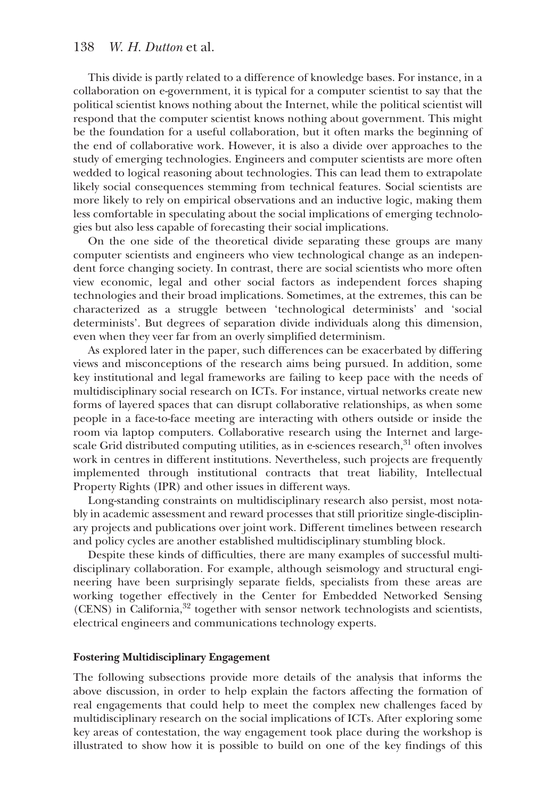# 138 *W. H. Dutton* et al.

This divide is partly related to a difference of knowledge bases. For instance, in a collaboration on e-government, it is typical for a computer scientist to say that the political scientist knows nothing about the Internet, while the political scientist will respond that the computer scientist knows nothing about government. This might be the foundation for a useful collaboration, but it often marks the beginning of the end of collaborative work. However, it is also a divide over approaches to the study of emerging technologies. Engineers and computer scientists are more often wedded to logical reasoning about technologies. This can lead them to extrapolate likely social consequences stemming from technical features. Social scientists are more likely to rely on empirical observations and an inductive logic, making them less comfortable in speculating about the social implications of emerging technologies but also less capable of forecasting their social implications.

On the one side of the theoretical divide separating these groups are many computer scientists and engineers who view technological change as an independent force changing society. In contrast, there are social scientists who more often view economic, legal and other social factors as independent forces shaping technologies and their broad implications. Sometimes, at the extremes, this can be characterized as a struggle between 'technological determinists' and 'social determinists'. But degrees of separation divide individuals along this dimension, even when they veer far from an overly simplified determinism.

As explored later in the paper, such differences can be exacerbated by differing views and misconceptions of the research aims being pursued. In addition, some key institutional and legal frameworks are failing to keep pace with the needs of multidisciplinary social research on ICTs. For instance, virtual networks create new forms of layered spaces that can disrupt collaborative relationships, as when some people in a face-to-face meeting are interacting with others outside or inside the room via laptop computers. Collaborative research using the Internet and largescale Grid distributed computing utilities, as in e-sciences research,  $31$  often involves work in centres in different institutions. Nevertheless, such projects are frequently implemented through institutional contracts that treat liability, Intellectual Property Rights (IPR) and other issues in different ways.

Long-standing constraints on multidisciplinary research also persist, most notably in academic assessment and reward processes that still prioritize single-disciplinary projects and publications over joint work. Different timelines between research and policy cycles are another established multidisciplinary stumbling block.

Despite these kinds of difficulties, there are many examples of successful multidisciplinary collaboration. For example, although seismology and structural engineering have been surprisingly separate fields, specialists from these areas are working together effectively in the Center for Embedded Networked Sensing  $(CENS)$  in California, $32$  together with sensor network technologists and scientists, electrical engineers and communications technology experts.

#### **Fostering Multidisciplinary Engagement**

The following subsections provide more details of the analysis that informs the above discussion, in order to help explain the factors affecting the formation of real engagements that could help to meet the complex new challenges faced by multidisciplinary research on the social implications of ICTs. After exploring some key areas of contestation, the way engagement took place during the workshop is illustrated to show how it is possible to build on one of the key findings of this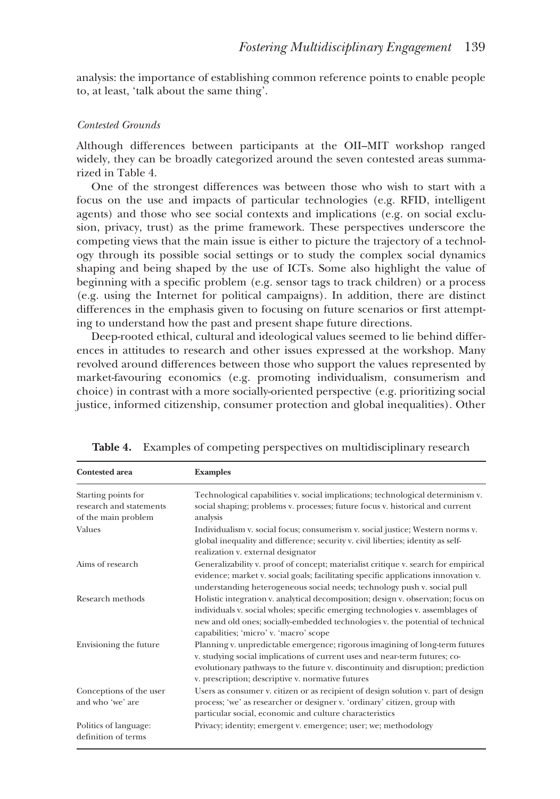analysis: the importance of establishing common reference points to enable people to, at least, 'talk about the same thing'.

#### *Contested Grounds*

Although differences between participants at the OII–MIT workshop ranged widely, they can be broadly categorized around the seven contested areas summarized in Table 4.

One of the strongest differences was between those who wish to start with a focus on the use and impacts of particular technologies (e.g. RFID, intelligent agents) and those who see social contexts and implications (e.g. on social exclusion, privacy, trust) as the prime framework. These perspectives underscore the competing views that the main issue is either to picture the trajectory of a technology through its possible social settings or to study the complex social dynamics shaping and being shaped by the use of ICTs. Some also highlight the value of beginning with a specific problem (e.g. sensor tags to track children) or a process (e.g. using the Internet for political campaigns). In addition, there are distinct differences in the emphasis given to focusing on future scenarios or first attempting to understand how the past and present shape future directions.

Deep-rooted ethical, cultural and ideological values seemed to lie behind differences in attitudes to research and other issues expressed at the workshop. Many revolved around differences between those who support the values represented by market-favouring economics (e.g. promoting individualism, consumerism and choice) in contrast with a more socially-oriented perspective (e.g. prioritizing social justice, informed citizenship, consumer protection and global inequalities). Other

| <b>Contested area</b>                                                 | <b>Examples</b>                                                                                                                                                                                                                                                                                    |
|-----------------------------------------------------------------------|----------------------------------------------------------------------------------------------------------------------------------------------------------------------------------------------------------------------------------------------------------------------------------------------------|
| Starting points for<br>research and statements<br>of the main problem | Technological capabilities v. social implications; technological determinism v.<br>social shaping; problems v. processes; future focus v. historical and current<br>analysis                                                                                                                       |
| Values                                                                | Individualism v. social focus; consumerism v. social justice; Western norms v.<br>global inequality and difference; security v. civil liberties; identity as self-<br>realization v. external designator                                                                                           |
| Aims of research                                                      | Generalizability v. proof of concept; materialist critique v. search for empirical<br>evidence; market v. social goals; facilitating specific applications innovation v.<br>understanding heterogeneous social needs; technology push v. social pull                                               |
| Research methods                                                      | Holistic integration v. analytical decomposition; design v. observation; focus on<br>individuals v. social wholes; specific emerging technologies v. assemblages of<br>new and old ones; socially-embedded technologies v. the potential of technical<br>capabilities; 'micro' v. 'macro' scope    |
| Envisioning the future                                                | Planning v. unpredictable emergence; rigorous imagining of long-term futures<br>v. studying social implications of current uses and near-term futures; co-<br>evolutionary pathways to the future v. discontinuity and disruption; prediction<br>v. prescription; descriptive v. normative futures |
| Conceptions of the user<br>and who 'we' are                           | Users as consumer v. citizen or as recipient of design solution v. part of design<br>process; 'we' as researcher or designer v. 'ordinary' citizen, group with<br>particular social, economic and culture characteristics                                                                          |
| Politics of language:<br>definition of terms                          | Privacy; identity; emergent v. emergence; user; we; methodology                                                                                                                                                                                                                                    |

**Table 4.** Examples of competing perspectives on multidisciplinary research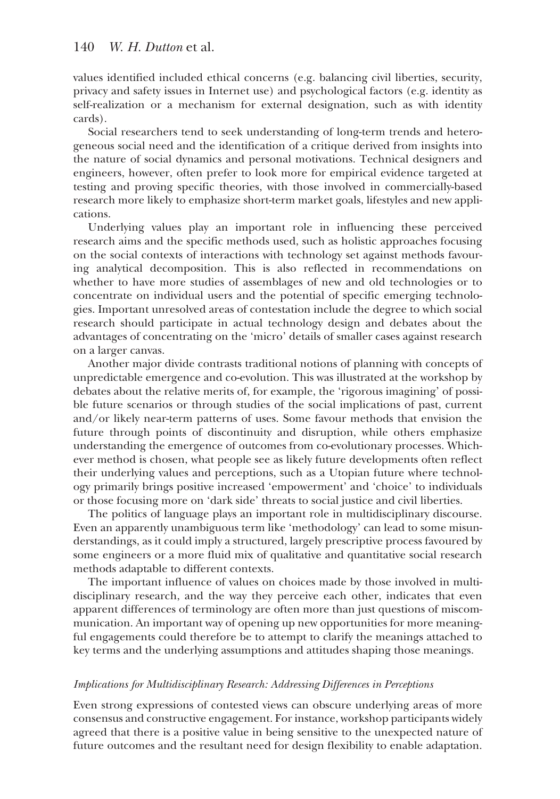values identified included ethical concerns (e.g. balancing civil liberties, security, privacy and safety issues in Internet use) and psychological factors (e.g. identity as self-realization or a mechanism for external designation, such as with identity cards).

Social researchers tend to seek understanding of long-term trends and heterogeneous social need and the identification of a critique derived from insights into the nature of social dynamics and personal motivations. Technical designers and engineers, however, often prefer to look more for empirical evidence targeted at testing and proving specific theories, with those involved in commercially-based research more likely to emphasize short-term market goals, lifestyles and new applications.

Underlying values play an important role in influencing these perceived research aims and the specific methods used, such as holistic approaches focusing on the social contexts of interactions with technology set against methods favouring analytical decomposition. This is also reflected in recommendations on whether to have more studies of assemblages of new and old technologies or to concentrate on individual users and the potential of specific emerging technologies. Important unresolved areas of contestation include the degree to which social research should participate in actual technology design and debates about the advantages of concentrating on the 'micro' details of smaller cases against research on a larger canvas.

Another major divide contrasts traditional notions of planning with concepts of unpredictable emergence and co-evolution. This was illustrated at the workshop by debates about the relative merits of, for example, the 'rigorous imagining' of possible future scenarios or through studies of the social implications of past, current and/or likely near-term patterns of uses. Some favour methods that envision the future through points of discontinuity and disruption, while others emphasize understanding the emergence of outcomes from co-evolutionary processes. Whichever method is chosen, what people see as likely future developments often reflect their underlying values and perceptions, such as a Utopian future where technology primarily brings positive increased 'empowerment' and 'choice' to individuals or those focusing more on 'dark side' threats to social justice and civil liberties.

The politics of language plays an important role in multidisciplinary discourse. Even an apparently unambiguous term like 'methodology' can lead to some misunderstandings, as it could imply a structured, largely prescriptive process favoured by some engineers or a more fluid mix of qualitative and quantitative social research methods adaptable to different contexts.

The important influence of values on choices made by those involved in multidisciplinary research, and the way they perceive each other, indicates that even apparent differences of terminology are often more than just questions of miscommunication. An important way of opening up new opportunities for more meaningful engagements could therefore be to attempt to clarify the meanings attached to key terms and the underlying assumptions and attitudes shaping those meanings.

# *Implications for Multidisciplinary Research: Addressing Differences in Perceptions*

Even strong expressions of contested views can obscure underlying areas of more consensus and constructive engagement. For instance, workshop participants widely agreed that there is a positive value in being sensitive to the unexpected nature of future outcomes and the resultant need for design flexibility to enable adaptation.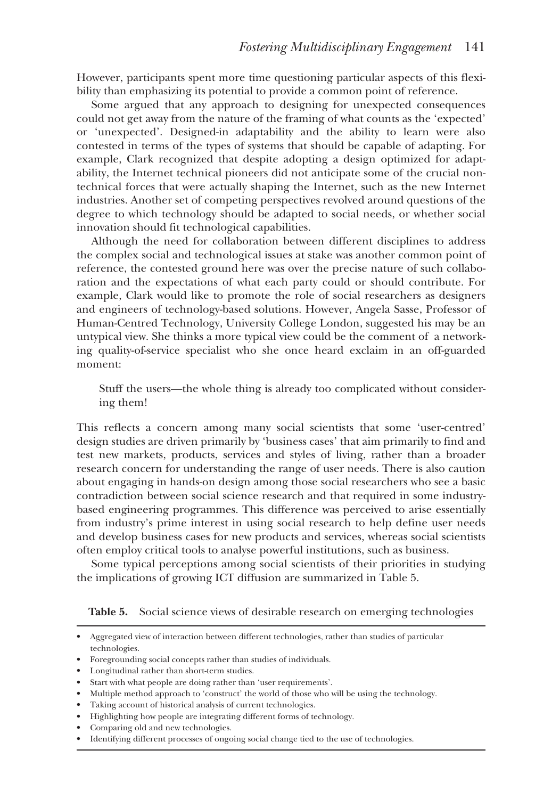However, participants spent more time questioning particular aspects of this flexibility than emphasizing its potential to provide a common point of reference.

Some argued that any approach to designing for unexpected consequences could not get away from the nature of the framing of what counts as the 'expected' or 'unexpected'. Designed-in adaptability and the ability to learn were also contested in terms of the types of systems that should be capable of adapting. For example, Clark recognized that despite adopting a design optimized for adaptability, the Internet technical pioneers did not anticipate some of the crucial nontechnical forces that were actually shaping the Internet, such as the new Internet industries. Another set of competing perspectives revolved around questions of the degree to which technology should be adapted to social needs, or whether social innovation should fit technological capabilities.

Although the need for collaboration between different disciplines to address the complex social and technological issues at stake was another common point of reference, the contested ground here was over the precise nature of such collaboration and the expectations of what each party could or should contribute. For example, Clark would like to promote the role of social researchers as designers and engineers of technology-based solutions. However, Angela Sasse, Professor of Human-Centred Technology, University College London, suggested his may be an untypical view. She thinks a more typical view could be the comment of a networking quality-of-service specialist who she once heard exclaim in an off-guarded moment:

Stuff the users—the whole thing is already too complicated without considering them!

This reflects a concern among many social scientists that some 'user-centred' design studies are driven primarily by 'business cases' that aim primarily to find and test new markets, products, services and styles of living, rather than a broader research concern for understanding the range of user needs. There is also caution about engaging in hands-on design among those social researchers who see a basic contradiction between social science research and that required in some industrybased engineering programmes. This difference was perceived to arise essentially from industry's prime interest in using social research to help define user needs and develop business cases for new products and services, whereas social scientists often employ critical tools to analyse powerful institutions, such as business.

Some typical perceptions among social scientists of their priorities in studying the implications of growing ICT diffusion are summarized in Table 5.

**Table 5.** Social science views of desirable research on emerging technologies

- Multiple method approach to 'construct' the world of those who will be using the technology.
- Taking account of historical analysis of current technologies.
- Highlighting how people are integrating different forms of technology.
- Comparing old and new technologies.

<sup>•</sup> Aggregated view of interaction between different technologies, rather than studies of particular technologies.

<sup>•</sup> Foregrounding social concepts rather than studies of individuals.

<sup>•</sup> Longitudinal rather than short-term studies.

<sup>•</sup> Start with what people are doing rather than 'user requirements'.

<sup>•</sup> Identifying different processes of ongoing social change tied to the use of technologies.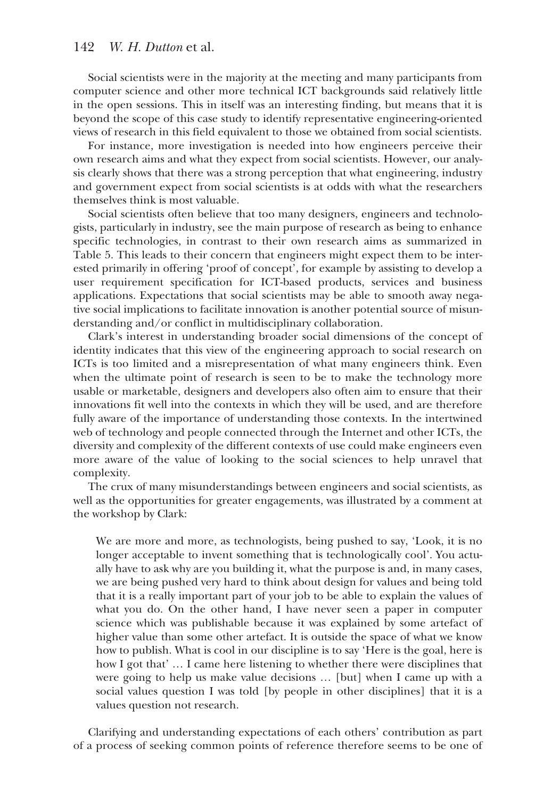# 142 *W. H. Dutton* et al.

Social scientists were in the majority at the meeting and many participants from computer science and other more technical ICT backgrounds said relatively little in the open sessions. This in itself was an interesting finding, but means that it is beyond the scope of this case study to identify representative engineering-oriented views of research in this field equivalent to those we obtained from social scientists.

For instance, more investigation is needed into how engineers perceive their own research aims and what they expect from social scientists. However, our analysis clearly shows that there was a strong perception that what engineering, industry and government expect from social scientists is at odds with what the researchers themselves think is most valuable.

Social scientists often believe that too many designers, engineers and technologists, particularly in industry, see the main purpose of research as being to enhance specific technologies, in contrast to their own research aims as summarized in Table 5. This leads to their concern that engineers might expect them to be interested primarily in offering 'proof of concept', for example by assisting to develop a user requirement specification for ICT-based products, services and business applications. Expectations that social scientists may be able to smooth away negative social implications to facilitate innovation is another potential source of misunderstanding and/or conflict in multidisciplinary collaboration.

Clark's interest in understanding broader social dimensions of the concept of identity indicates that this view of the engineering approach to social research on ICTs is too limited and a misrepresentation of what many engineers think. Even when the ultimate point of research is seen to be to make the technology more usable or marketable, designers and developers also often aim to ensure that their innovations fit well into the contexts in which they will be used, and are therefore fully aware of the importance of understanding those contexts. In the intertwined web of technology and people connected through the Internet and other ICTs, the diversity and complexity of the different contexts of use could make engineers even more aware of the value of looking to the social sciences to help unravel that complexity.

The crux of many misunderstandings between engineers and social scientists, as well as the opportunities for greater engagements, was illustrated by a comment at the workshop by Clark:

We are more and more, as technologists, being pushed to say, 'Look, it is no longer acceptable to invent something that is technologically cool'. You actually have to ask why are you building it, what the purpose is and, in many cases, we are being pushed very hard to think about design for values and being told that it is a really important part of your job to be able to explain the values of what you do. On the other hand, I have never seen a paper in computer science which was publishable because it was explained by some artefact of higher value than some other artefact. It is outside the space of what we know how to publish. What is cool in our discipline is to say 'Here is the goal, here is how I got that' … I came here listening to whether there were disciplines that were going to help us make value decisions … [but] when I came up with a social values question I was told [by people in other disciplines] that it is a values question not research.

Clarifying and understanding expectations of each others' contribution as part of a process of seeking common points of reference therefore seems to be one of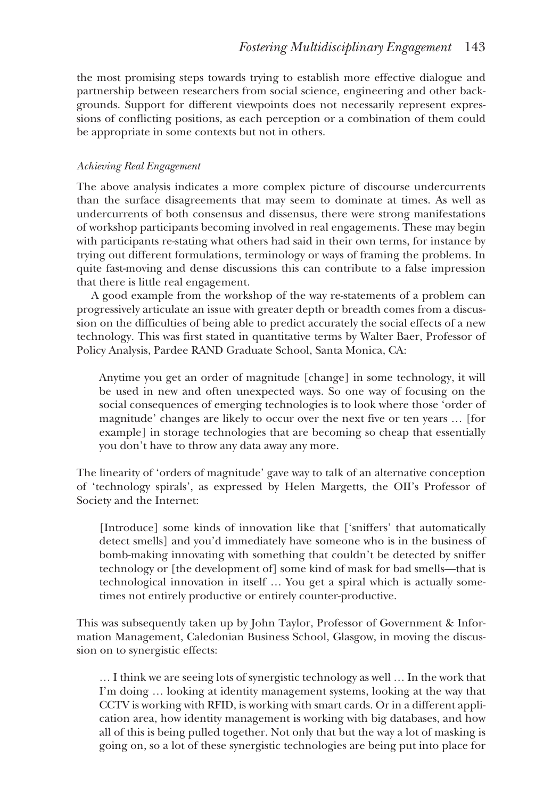the most promising steps towards trying to establish more effective dialogue and partnership between researchers from social science, engineering and other backgrounds. Support for different viewpoints does not necessarily represent expressions of conflicting positions, as each perception or a combination of them could be appropriate in some contexts but not in others.

# *Achieving Real Engagement*

The above analysis indicates a more complex picture of discourse undercurrents than the surface disagreements that may seem to dominate at times. As well as undercurrents of both consensus and dissensus, there were strong manifestations of workshop participants becoming involved in real engagements. These may begin with participants re-stating what others had said in their own terms, for instance by trying out different formulations, terminology or ways of framing the problems. In quite fast-moving and dense discussions this can contribute to a false impression that there is little real engagement.

A good example from the workshop of the way re-statements of a problem can progressively articulate an issue with greater depth or breadth comes from a discussion on the difficulties of being able to predict accurately the social effects of a new technology. This was first stated in quantitative terms by Walter Baer, Professor of Policy Analysis, Pardee RAND Graduate School, Santa Monica, CA:

Anytime you get an order of magnitude [change] in some technology, it will be used in new and often unexpected ways. So one way of focusing on the social consequences of emerging technologies is to look where those 'order of magnitude' changes are likely to occur over the next five or ten years … [for example] in storage technologies that are becoming so cheap that essentially you don't have to throw any data away any more.

The linearity of 'orders of magnitude' gave way to talk of an alternative conception of 'technology spirals', as expressed by Helen Margetts, the OII's Professor of Society and the Internet:

[Introduce] some kinds of innovation like that ['sniffers' that automatically detect smells] and you'd immediately have someone who is in the business of bomb-making innovating with something that couldn't be detected by sniffer technology or [the development of] some kind of mask for bad smells—that is technological innovation in itself … You get a spiral which is actually sometimes not entirely productive or entirely counter-productive.

This was subsequently taken up by John Taylor, Professor of Government & Information Management, Caledonian Business School, Glasgow, in moving the discussion on to synergistic effects:

… I think we are seeing lots of synergistic technology as well … In the work that I'm doing … looking at identity management systems, looking at the way that CCTV is working with RFID, is working with smart cards. Or in a different application area, how identity management is working with big databases, and how all of this is being pulled together. Not only that but the way a lot of masking is going on, so a lot of these synergistic technologies are being put into place for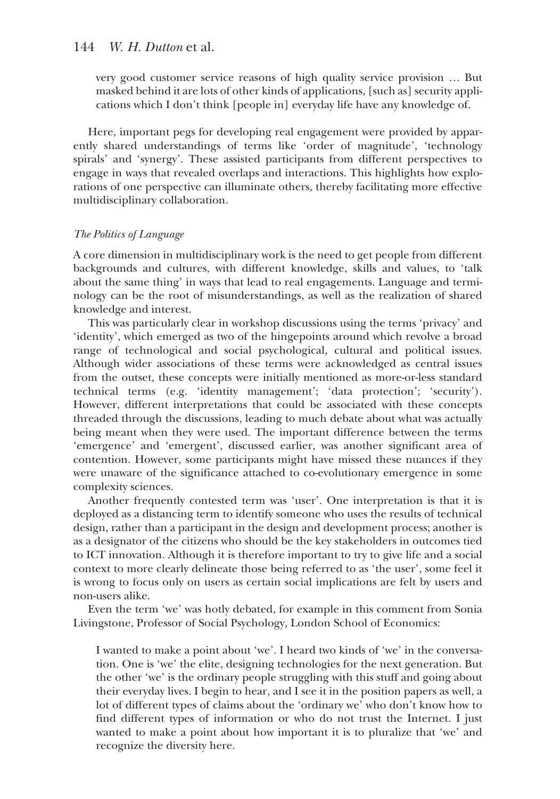# 144 *W. H. Dutton* et al.

very good customer service reasons of high quality service provision … But masked behind it are lots of other kinds of applications, [such as] security applications which I don't think [people in] everyday life have any knowledge of.

Here, important pegs for developing real engagement were provided by apparently shared understandings of terms like 'order of magnitude', 'technology spirals' and 'synergy'. These assisted participants from different perspectives to engage in ways that revealed overlaps and interactions. This highlights how explorations of one perspective can illuminate others, thereby facilitating more effective multidisciplinary collaboration.

# *The Politics of Language*

A core dimension in multidisciplinary work is the need to get people from different backgrounds and cultures, with different knowledge, skills and values, to 'talk about the same thing' in ways that lead to real engagements. Language and terminology can be the root of misunderstandings, as well as the realization of shared knowledge and interest.

This was particularly clear in workshop discussions using the terms 'privacy' and 'identity', which emerged as two of the hingepoints around which revolve a broad range of technological and social psychological, cultural and political issues. Although wider associations of these terms were acknowledged as central issues from the outset, these concepts were initially mentioned as more-or-less standard technical terms (e.g. 'identity management'; 'data protection'; 'security'). However, different interpretations that could be associated with these concepts threaded through the discussions, leading to much debate about what was actually being meant when they were used. The important difference between the terms 'emergence' and 'emergent', discussed earlier, was another significant area of contention. However, some participants might have missed these nuances if they were unaware of the significance attached to co-evolutionary emergence in some complexity sciences.

Another frequently contested term was 'user'. One interpretation is that it is deployed as a distancing term to identify someone who uses the results of technical design, rather than a participant in the design and development process; another is as a designator of the citizens who should be the key stakeholders in outcomes tied to ICT innovation. Although it is therefore important to try to give life and a social context to more clearly delineate those being referred to as 'the user', some feel it is wrong to focus only on users as certain social implications are felt by users and non-users alike.

Even the term 'we' was hotly debated, for example in this comment from Sonia Livingstone, Professor of Social Psychology, London School of Economics:

I wanted to make a point about 'we'. I heard two kinds of 'we' in the conversation. One is 'we' the elite, designing technologies for the next generation. But the other 'we' is the ordinary people struggling with this stuff and going about their everyday lives. I begin to hear, and I see it in the position papers as well, a lot of different types of claims about the 'ordinary we' who don't know how to find different types of information or who do not trust the Internet. I just wanted to make a point about how important it is to pluralize that 'we' and recognize the diversity here.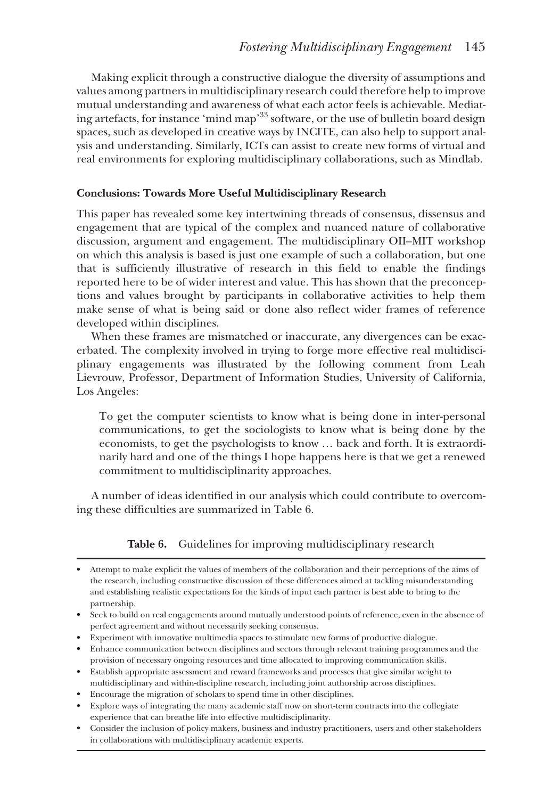Making explicit through a constructive dialogue the diversity of assumptions and values among partners in multidisciplinary research could therefore help to improve mutual understanding and awareness of what each actor feels is achievable. Mediating artefacts, for instance 'mind map'33 software, or the use of bulletin board design spaces, such as developed in creative ways by INCITE, can also help to support analysis and understanding. Similarly, ICTs can assist to create new forms of virtual and real environments for exploring multidisciplinary collaborations, such as Mindlab.

# **Conclusions: Towards More Useful Multidisciplinary Research**

This paper has revealed some key intertwining threads of consensus, dissensus and engagement that are typical of the complex and nuanced nature of collaborative discussion, argument and engagement. The multidisciplinary OII–MIT workshop on which this analysis is based is just one example of such a collaboration, but one that is sufficiently illustrative of research in this field to enable the findings reported here to be of wider interest and value. This has shown that the preconceptions and values brought by participants in collaborative activities to help them make sense of what is being said or done also reflect wider frames of reference developed within disciplines.

When these frames are mismatched or inaccurate, any divergences can be exacerbated. The complexity involved in trying to forge more effective real multidisciplinary engagements was illustrated by the following comment from Leah Lievrouw, Professor, Department of Information Studies, University of California, Los Angeles:

To get the computer scientists to know what is being done in inter-personal communications, to get the sociologists to know what is being done by the economists, to get the psychologists to know … back and forth. It is extraordinarily hard and one of the things I hope happens here is that we get a renewed commitment to multidisciplinarity approaches.

A number of ideas identified in our analysis which could contribute to overcoming these difficulties are summarized in Table 6.

# **Table 6.** Guidelines for improving multidisciplinary research

- Experiment with innovative multimedia spaces to stimulate new forms of productive dialogue.
- Enhance communication between disciplines and sectors through relevant training programmes and the provision of necessary ongoing resources and time allocated to improving communication skills.
- Establish appropriate assessment and reward frameworks and processes that give similar weight to multidisciplinary and within-discipline research, including joint authorship across disciplines.
- Encourage the migration of scholars to spend time in other disciplines.
- Explore ways of integrating the many academic staff now on short-term contracts into the collegiate experience that can breathe life into effective multidisciplinarity.
- Consider the inclusion of policy makers, business and industry practitioners, users and other stakeholders in collaborations with multidisciplinary academic experts.

<sup>•</sup> Attempt to make explicit the values of members of the collaboration and their perceptions of the aims of the research, including constructive discussion of these differences aimed at tackling misunderstanding and establishing realistic expectations for the kinds of input each partner is best able to bring to the partnership.

<sup>•</sup> Seek to build on real engagements around mutually understood points of reference, even in the absence of perfect agreement and without necessarily seeking consensus.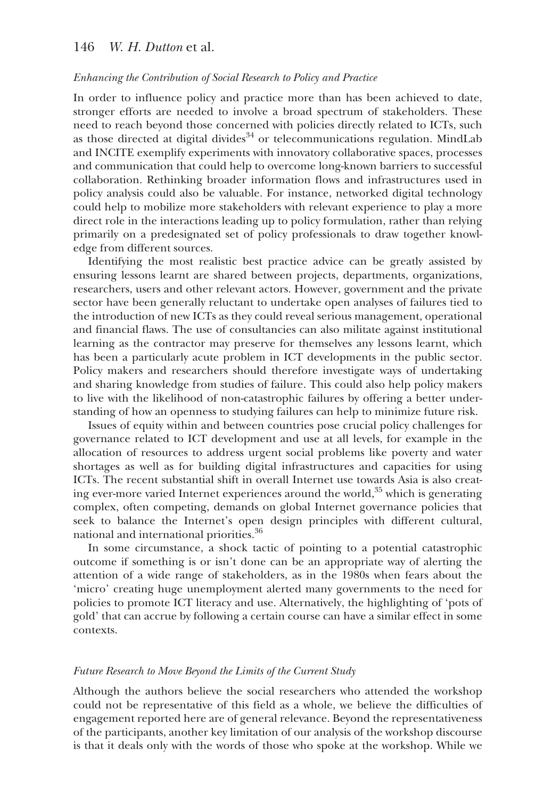# 146 *W. H. Dutton* et al.

### *Enhancing the Contribution of Social Research to Policy and Practice*

In order to influence policy and practice more than has been achieved to date, stronger efforts are needed to involve a broad spectrum of stakeholders. These need to reach beyond those concerned with policies directly related to ICTs, such as those directed at digital divides  $34$  or telecommunications regulation. MindLab and INCITE exemplify experiments with innovatory collaborative spaces, processes and communication that could help to overcome long-known barriers to successful collaboration. Rethinking broader information flows and infrastructures used in policy analysis could also be valuable. For instance, networked digital technology could help to mobilize more stakeholders with relevant experience to play a more direct role in the interactions leading up to policy formulation, rather than relying primarily on a predesignated set of policy professionals to draw together knowledge from different sources.

Identifying the most realistic best practice advice can be greatly assisted by ensuring lessons learnt are shared between projects, departments, organizations, researchers, users and other relevant actors. However, government and the private sector have been generally reluctant to undertake open analyses of failures tied to the introduction of new ICTs as they could reveal serious management, operational and financial flaws. The use of consultancies can also militate against institutional learning as the contractor may preserve for themselves any lessons learnt, which has been a particularly acute problem in ICT developments in the public sector. Policy makers and researchers should therefore investigate ways of undertaking and sharing knowledge from studies of failure. This could also help policy makers to live with the likelihood of non-catastrophic failures by offering a better understanding of how an openness to studying failures can help to minimize future risk.

Issues of equity within and between countries pose crucial policy challenges for governance related to ICT development and use at all levels, for example in the allocation of resources to address urgent social problems like poverty and water shortages as well as for building digital infrastructures and capacities for using ICTs. The recent substantial shift in overall Internet use towards Asia is also creating ever-more varied Internet experiences around the world, $35$  which is generating complex, often competing, demands on global Internet governance policies that seek to balance the Internet's open design principles with different cultural, national and international priorities.36

In some circumstance, a shock tactic of pointing to a potential catastrophic outcome if something is or isn't done can be an appropriate way of alerting the attention of a wide range of stakeholders, as in the 1980s when fears about the 'micro' creating huge unemployment alerted many governments to the need for policies to promote ICT literacy and use. Alternatively, the highlighting of 'pots of gold' that can accrue by following a certain course can have a similar effect in some contexts.

#### *Future Research to Move Beyond the Limits of the Current Study*

Although the authors believe the social researchers who attended the workshop could not be representative of this field as a whole, we believe the difficulties of engagement reported here are of general relevance. Beyond the representativeness of the participants, another key limitation of our analysis of the workshop discourse is that it deals only with the words of those who spoke at the workshop. While we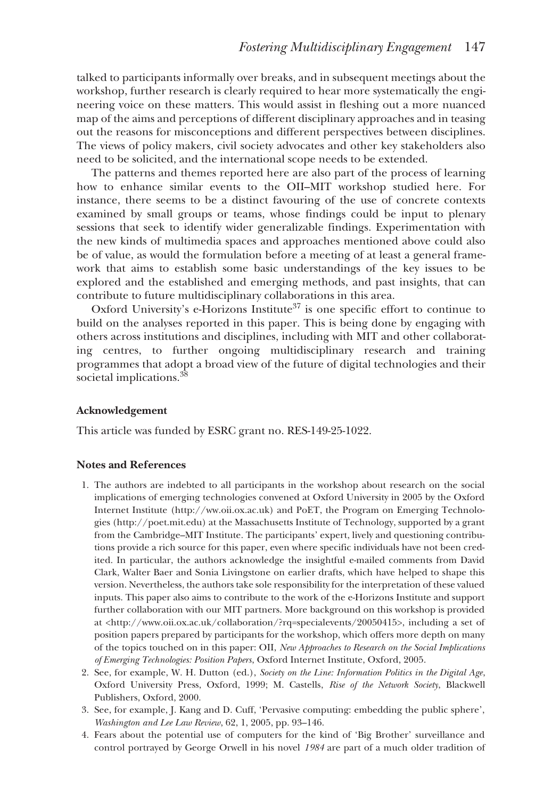talked to participants informally over breaks, and in subsequent meetings about the workshop, further research is clearly required to hear more systematically the engineering voice on these matters. This would assist in fleshing out a more nuanced map of the aims and perceptions of different disciplinary approaches and in teasing out the reasons for misconceptions and different perspectives between disciplines. The views of policy makers, civil society advocates and other key stakeholders also need to be solicited, and the international scope needs to be extended.

The patterns and themes reported here are also part of the process of learning how to enhance similar events to the OII–MIT workshop studied here. For instance, there seems to be a distinct favouring of the use of concrete contexts examined by small groups or teams, whose findings could be input to plenary sessions that seek to identify wider generalizable findings. Experimentation with the new kinds of multimedia spaces and approaches mentioned above could also be of value, as would the formulation before a meeting of at least a general framework that aims to establish some basic understandings of the key issues to be explored and the established and emerging methods, and past insights, that can contribute to future multidisciplinary collaborations in this area.

Oxford University's e-Horizons Institute<sup>37</sup> is one specific effort to continue to build on the analyses reported in this paper. This is being done by engaging with others across institutions and disciplines, including with MIT and other collaborating centres, to further ongoing multidisciplinary research and training programmes that adopt a broad view of the future of digital technologies and their societal implications.<sup>38</sup>

#### **Acknowledgement**

This article was funded by ESRC grant no. RES-149-25-1022.

### **Notes and References**

- 1. The authors are indebted to all participants in the workshop about research on the social implications of emerging technologies convened at Oxford University in 2005 by the Oxford Internet Institute (http://ww.oii.ox.ac.uk) and PoET, the Program on Emerging Technologies (http://poet.mit.edu) at the Massachusetts Institute of Technology, supported by a grant from the Cambridge–MIT Institute. The participants' expert, lively and questioning contributions provide a rich source for this paper, even where specific individuals have not been credited. In particular, the authors acknowledge the insightful e-mailed comments from David Clark, Walter Baer and Sonia Livingstone on earlier drafts, which have helped to shape this version. Nevertheless, the authors take sole responsibility for the interpretation of these valued inputs. This paper also aims to contribute to the work of the e-Horizons Institute and support further collaboration with our MIT partners. More background on this workshop is provided at <http://www.oii.ox.ac.uk/collaboration/?rq=specialevents/20050415>, including a set of position papers prepared by participants for the workshop, which offers more depth on many of the topics touched on in this paper: OII, *New Approaches to Research on the Social Implications of Emerging Technologies: Position Papers*, Oxford Internet Institute, Oxford, 2005.
- 2. See, for example, W. H. Dutton (ed.), *Society on the Line: Information Politics in the Digital Age*, Oxford University Press, Oxford, 1999; M. Castells, *Rise of the Network Society*, Blackwell Publishers, Oxford, 2000.
- 3. See, for example, J. Kang and D. Cuff, 'Pervasive computing: embedding the public sphere', *Washington and Lee Law Review*, 62, 1, 2005, pp. 93–146.
- 4. Fears about the potential use of computers for the kind of 'Big Brother' surveillance and control portrayed by George Orwell in his novel *1984* are part of a much older tradition of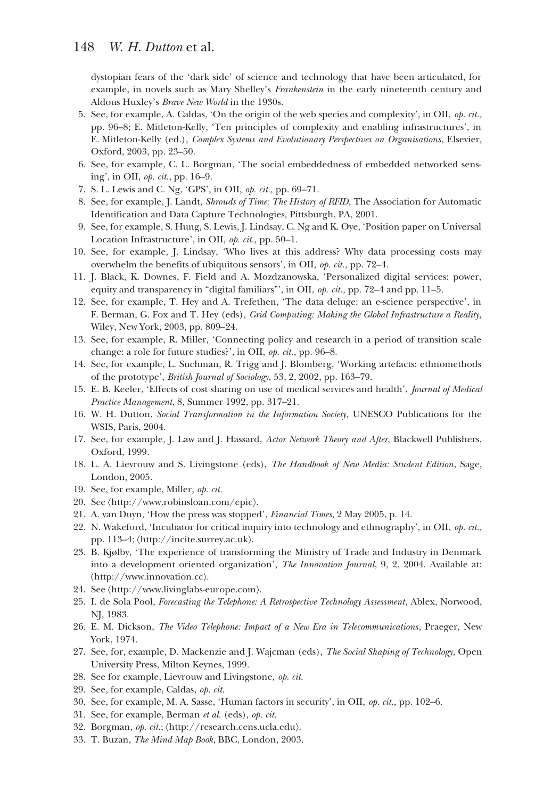dystopian fears of the 'dark side' of science and technology that have been articulated, for example, in novels such as Mary Shelley's *Frankenstein* in the early nineteenth century and Aldous Huxley's *Brave New World* in the 1930s.

- 5. See, for example, A. Caldas, 'On the origin of the web species and complexity', in OII, *op. cit.,* pp. 96–8; E. Mitleton-Kelly, 'Ten principles of complexity and enabling infrastructures', in E. Mitleton-Kelly (ed.), *Complex Systems and Evolutionary Perspectives on Organisations*, Elsevier, Oxford, 2003, pp. 23–50.
- 6. See, for example, C. L. Borgman, 'The social embeddedness of embedded networked sensing', in OII, *op. cit.*, pp. 16–9.
- 7. S. L. Lewis and C. Ng, 'GPS', in OII, *op. cit.,* pp. 69–71.
- 8. See, for example, J. Landt, *Shrouds of Time: The History of RFID*, The Association for Automatic Identification and Data Capture Technologies, Pittsburgh, PA, 2001.
- 9. See, for example, S. Hung, S. Lewis, J. Lindsay, C. Ng and K. Oye, 'Position paper on Universal Location Infrastructure', in OII, *op. cit.,* pp. 50–1.
- 10. See, for example, J. Lindsay, 'Who lives at this address? Why data processing costs may overwhelm the benefits of ubiquitous sensors', in OII, *op. cit.,* pp. 72–4.
- 11. J. Black, K. Downes, F. Field and A. Mozdzanowska, 'Personalized digital services: power, equity and transparency in "digital familiars"', in OII, *op. cit.,* pp. 72–4 and pp. 11–5.
- 12. See, for example, T. Hey and A. Trefethen, 'The data deluge: an e-science perspective', in F. Berman, G. Fox and T. Hey (eds), *Grid Computing: Making the Global Infrastructure a Reality,* Wiley, New York, 2003, pp. 809–24.
- 13. See, for example, R. Miller, 'Connecting policy and research in a period of transition scale change: a role for future studies?', in OII, *op. cit.,* pp. 96–8.
- 14. See, for example, L. Suchman, R. Trigg and J. Blomberg, 'Working artefacts: ethnomethods of the prototype', *British Journal of Sociology*, 53, 2, 2002, pp. 163–79.
- 15. E. B. Keeler, 'Effects of cost sharing on use of medical services and health', *Journal of Medical Practice Management*, 8, Summer 1992, pp. 317–21.
- 16. W. H. Dutton, *Social Transformation in the Information Society*, UNESCO Publications for the WSIS, Paris, 2004.
- 17. See, for example, J. Law and J. Hassard, *Actor Network Theory and After*, Blackwell Publishers, Oxford, 1999.
- 18. L. A. Lievrouw and S. Livingstone (eds), *The Handbook of New Media: Student Edition*, Sage, London, 2005.
- 19. See, for example, Miller, *op. cit.*
- 20. See 〈http://www.robinsloan.com/epic〉.
- 21. A. van Duyn, 'How the press was stopped', *Financial Times*, 2 May 2005, p. 14.
- 22. N. Wakeford, 'Incubator for critical inquiry into technology and ethnography', in OII, *op. cit.,* pp. 113–4; 〈http://incite.surrey.ac.uk〉.
- 23. B. Kjølby, 'The experience of transforming the Ministry of Trade and Industry in Denmark into a development oriented organization', *The Innovation Journal*, 9, 2, 2004. Available at: 〈http://www.innovation.cc〉.
- 24. See 〈http://www.livinglabs-europe.com〉.
- 25. I. de Sola Pool, *Forecasting the Telephone: A Retrospective Technology Assessment*, Ablex, Norwood, NJ, 1983.
- 26. E. M. Dickson, *The Video Telephone: Impact of a New Era in Telecommunications*, Praeger, New York, 1974.
- 27. See, for, example, D. Mackenzie and J. Wajcman (eds), *The Social Shaping of Technology*, Open University Press, Milton Keynes, 1999.
- 28. See for example, Lievrouw and Livingstone, *op. cit.*
- 29. See, for example, Caldas, *op. cit.*
- 30. See, for example, M. A. Sasse, 'Human factors in security', in OII, *op. cit.,* pp. 102–6.
- 31. See, for example, Berman *et al.* (eds), *op. cit.*
- 32. Borgman, *op. cit.*; 〈http://research.cens.ucla.edu〉.
- 33. T. Buzan, *The Mind Map Book*, BBC, London, 2003.